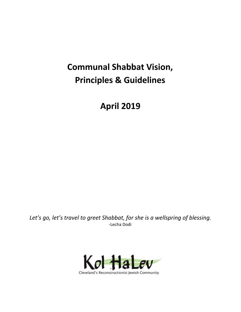# **Communal Shabbat Vision, Principles & Guidelines**

**April 2019**

*Let's go, let's travel to greet Shabbat, for she is a wellspring of blessing.* -Lecha Dodi

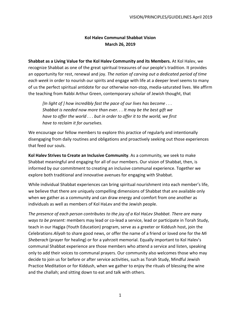## **Kol Halev Communal Shabbat Vision March 26, 2019**

**Shabbat as a Living Value for the Kol Halev Community and its Members.** At Kol Halev, we recognize Shabbat as one of the great spiritual treasures of our people's tradition. It provides an opportunity for rest, renewal and joy. *The notion of carving out a dedicated period of time each week* in order to nourish our spirits and engage with life at a deeper level seems to many of us the perfect spiritual antidote for our otherwise non-stop, media-saturated lives. We affirm the teaching from Rabbi Arthur Green, contemporary scholar of Jewish thought, that

*[In light of ] how incredibly fast the pace of our lives has become . . . Shabbat is needed now more than ever. . . It may be the best gift we have to offer the world . . . but in order to offer it to the world, we first have to reclaim it for ourselves.*

We encourage our fellow members to explore this practice of regularly and intentionally disengaging from daily routines and obligations and proactively seeking out those experiences that feed our souls.

**Kol Halev Strives to Create an Inclusive Community**. As a community, we seek to make Shabbat meaningful and engaging for all of our members. Our vision of Shabbat, then, is informed by our commitment to creating an inclusive communal experience. Together we explore both traditional and innovative avenues for engaging with Shabbat.

While individual Shabbat experiences can bring spiritual nourishment into each member's life, we believe that there are uniquely compelling dimensions of Shabbat that are available only when we gather as a community and can draw energy and comfort from one another as individuals as well as members of Kol HaLev and the Jewish people.

*The presence of each person contributes to the joy of a Kol HaLev Shabbat. There are many ways to be present:* members may lead or co-lead a service, lead or participate in Torah Study, teach in our Hagiga (Youth Education) program, serve as a greeter or Kiddush host, join the Celebrations *Aliyah* to share good news, or offer the name of a friend or loved one for the *Mi Sheberach* (prayer for healing) or for a yahrzeit memorial. Equally important to Kol Halev's communal Shabbat experience are those members who attend a service and listen, speaking only to add their voices to communal prayers. Our community also welcomes those who may decide to join us for before or after service activities, such as Torah Study, Mindful Jewish Practice Meditation or for Kiddush, when we gather to enjoy the rituals of blessing the wine and the challah; and sitting down to eat and talk with others.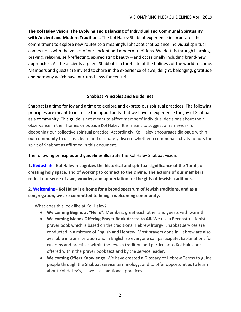**The Kol Halev Vision: The Evolving and Balancing of Individual and Communal Spirituality with Ancient and Modern Traditions.** The Kol HaLev Shabbat experience incorporates the commitment to explore new routes to a meaningful Shabbat that balance individual spiritual connections with the voices of our ancient and modern traditions. We do this through learning, praying, relaxing, self-reflecting, appreciating beauty – and occasionally including brand-new approaches. As the ancients argued, Shabbat is a foretaste of the holiness of the world to come. Members and guests are invited to share in the experience of awe, delight, belonging, gratitude and harmony which have nurtured Jews for centuries.

### **Shabbat Principles and Guidelines**

Shabbat is a time for joy and a time to explore and express our spiritual practices. The following principles are meant to increase the opportunity that we have to experience the joy of Shabbat as a community. This guide is not meant to affect members' individual decisions about their observance in their homes or outside Kol HaLev. It is meant to suggest a framework for deepening our collective spiritual practice. Accordingly, Kol Halev encourages dialogue within our community to discuss, learn and ultimately discern whether a communal activity honors the spirit of Shabbat as affirmed in this document.

The following principles and guidelines illustrate the Kol Halev Shabbat vision.

**1. Kedushah - Kol Halev recognizes the historical and spiritual significance of the Torah, of creating holy space, and of working to connect to the Divine. The actions of our members reflect our sense of awe, wonder, and appreciation for the gifts of Jewish traditions.**

**2. Welcoming - Kol Halev is a home for a broad spectrum of Jewish traditions, and as a congregation, we are committed to being a welcoming community.**

- **● Welcoming Begins at "Hello".** Members greet each other and guests with warmth.
- **● Welcoming Means Offering Prayer Book Access to All.** We use a Reconstructionist prayer book which is based on the traditional Hebrew liturgy. Shabbat services are conducted in a mixture of English and Hebrew. Most prayers done in Hebrew are also available in transliteration and in English so everyone can participate. Explanations for customs and practices within the Jewish tradition and particular to Kol Halev are offered within the prayer book text and by the service leader.
- **● Welcoming Offers Knowledge.** We have created a Glossary of Hebrew Terms to guide people through the Shabbat service terminology, and to offer opportunities to learn about Kol HaLev's, as well as traditional, practices .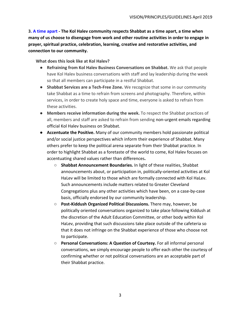**3. A time apart - The Kol Halev community respects Shabbat as a time apart, a time when many of us choose to disengage from work and other routine activities in order to engage in prayer, spiritual practice, celebration, learning, creative and restorative activities, and connection to our community.**

- **● Refraining from Kol Halev Business Conversations on Shabbat.** We ask that people have Kol Halev business conversations with staff and lay leadership during the week so that all members can participate in a restful Shabbat.
- **● Shabbat Services are a Tech-Free Zone.** We recognize that some in our community take Shabbat as a time to refrain from screens and photography. Therefore, within services, in order to create holy space and time, everyone is asked to refrain from these activities.
- **● Members receive information during the week.** To respect the Shabbat practices of all, members and staff are asked to refrain from sending non-urgent emails regarding official Kol Halev business on Shabbat.
- **● Accentuate the Positive.** Many of our community members hold passionate political and/or social justice perspectives which inform their experience of Shabbat. Many others prefer to keep the political arena separate from their Shabbat practice. In order to highlight Shabbat as a foretaste of the world to come, Kol Halev focuses on accentuating shared values rather than differences**.**
	- **○ Shabbat Announcement Boundaries.** In light of these realities, Shabbat announcements about, or participation in, politically-oriented activities at Kol HaLev will be limited to those which are formally connected with Kol HaLev. Such announcements include matters related to Greater Cleveland Congregations plus any other activities which have been, on a case-by-case basis, officially endorsed by our community leadership.
	- **○ Post-Kiddush Organized Political Discussions.** There may, however, be politically oriented conversations organized to take place following Kiddush at the discretion of the Adult Education Committee, or other body within Kol HaLev, providing that such discussions take place outside of the cafeteria so that it does not infringe on the Shabbat experience of those who choose not to participate.
	- **○ Personal Conversations: A Question of Courtesy.** For all informal personal conversations, we simply encourage people to offer each other the courtesy of confirming whether or not political conversations are an acceptable part of their Shabbat practice.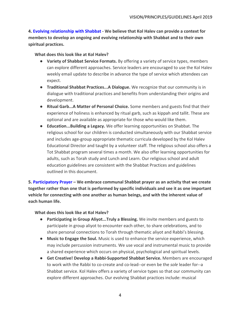**4. Evolving relationship with Shabbat - We believe that Kol Halev can provide a context for members to develop an ongoing and evolving relationship with Shabbat and to their own spiritual practices.**

#### **What does this look like at Kol Halev?**

- **● Variety of Shabbat Service Formats.** By offering a variety of service types, members can explore different approaches. Service leaders are encouraged to use the Kol Halev weekly email update to describe in advance the type of service which attendees can expect.
- **● Traditional Shabbat Practices...A Dialogue.** We recognize that our community is in dialogue with traditional practices and benefits from understanding their origins and development.
- **● Ritual Garb...A Matter of Personal Choice.** Some members and guests find that their experience of holiness is enhanced by ritual garb, such as kippah and tallit. These are optional and are available as appropriate for those who would like them.
- **● Education...Building a Legacy.** We offer learning opportunities on Shabbat. The religious school for our children is conducted simultaneously with our Shabbat service and includes age-group appropriate thematic curricula developed by the Kol Halev Educational Director and taught by a volunteer staff. The religious school also offers a Tot Shabbat program several times a month. We also offer learning opportunities for adults, such as Torah study and Lunch and Learn. Our religious school and adult education guidelines are consistent with the Shabbat Practices and guidelines outlined in this document.

**5. Participatory Prayer – We embrace communal Shabbat prayer as an activity that we create together rather than one that is performed by specific individuals and see it as one important vehicle for connecting with one another as human beings, and with the inherent value of each human life.**

- **● Participating in Group Aliyot...Truly a Blessing.** We invite members and guests to participate in group aliyot to encounter each other, to share celebrations, and to share personal connections to Torah through thematic aliyot and Rabbi's blessing.
- **● Music to Engage the Soul.** Music is used to enhance the service experience, which may include percussion instruments. We use vocal and instrumental music to provide a shared experience which occurs on physical, psychological and spiritual levels.
- **● Get Creative! Develop a Rabbi-Supported Shabbat Service.** Members are encouraged to work with the Rabbi to co-create and co-lead--or even be the *sole* leader for--a Shabbat service. Kol Halev offers a variety of service types so that our community can explore different approaches. Our evolving Shabbat practices include: musical